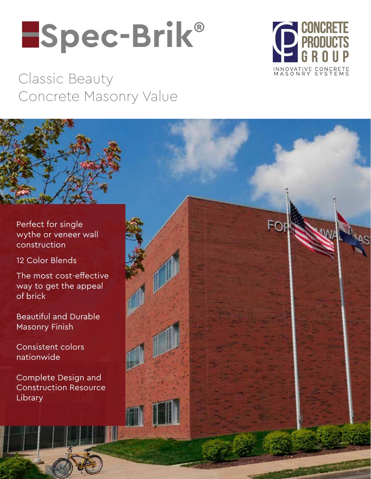# **Spec-Brik®**



Classic Beauty Concrete Masonry Value

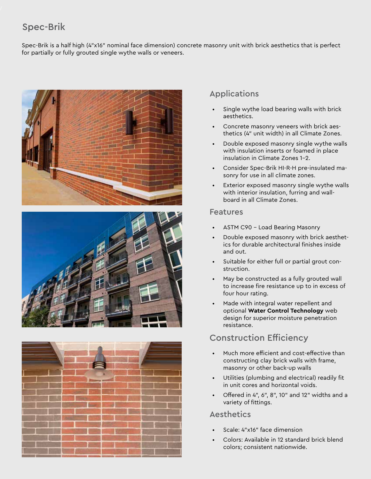# Spec-Brik

Spec-Brik is a half high (4"x16" nominal face dimension) concrete masonry unit with brick aesthetics that is perfect for partially or fully grouted single wythe walls or veneers.







### Applications

- Single wythe load bearing walls with brick aesthetics.
- Concrete masonry veneers with brick aesthetics (4" unit width) in all Climate Zones.
- Double exposed masonry single wythe walls with insulation inserts or foamed in place insulation in Climate Zones 1-2.
- Consider Spec-Brik HI-R-H pre-insulated masonry for use in all climate zones.
- Exterior exposed masonry single wythe walls with interior insulation, furring and wallboard in all Climate Zones.

#### Features

- ASTM C90 Load Bearing Masonry
- Double exposed masonry with brick aesthetics for durable architectural finishes inside and out.
- Suitable for either full or partial grout construction.
- May be constructed as a fully grouted wall to increase fire resistance up to in excess of four hour rating.
- Made with integral water repellent and optional **Water Control Technology** web design for superior moisture penetration resistance.

## Construction Efficiency

- Much more efficient and cost-effective than constructing clay brick walls with frame, masonry or other back-up walls
- Utilities (plumbing and electrical) readily fit in unit cores and horizontal voids.
- Offered in 4", 6", 8", 10" and 12" widths and a variety of fittings.

### Aesthetics

- Scale: 4"x16" face dimension
- Colors: Available in 12 standard brick blend colors; consistent nationwide.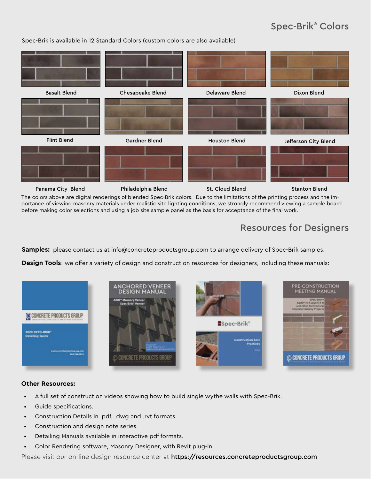# Spec-Brik® Colors

Spec-Brik is available in 12 Standard Colors (custom colors are also available)



The colors above are digital renderings of blended Spec-Brik colors. Due to the limitations of the printing process and the importance of viewing masonry materials under realistic site lighting conditions, we strongly recommend viewing a sample board before making color selections and using a job site sample panel as the basis for acceptance of the final work.

# Resources for Designers

**Samples:** please contact us at info@concreteproductsgroup.com to arrange delivery of Spec-Brik samples.

**Design Tools**: we offer a variety of design and construction resources for designers, including these manuals:



#### **Other Resources:**

- A full set of construction videos showing how to build single wythe walls with Spec-Brik.
- Guide specifications.
- Construction Details in .pdf, .dwg and .rvt formats
- Construction and design note series.
- Detailing Manuals available in interactive pdf formats.
- Color Rendering software, Masonry Designer, with Revit plug-in.

Please visit our on-line design resource center at https://resources.concreteproductsgroup.com